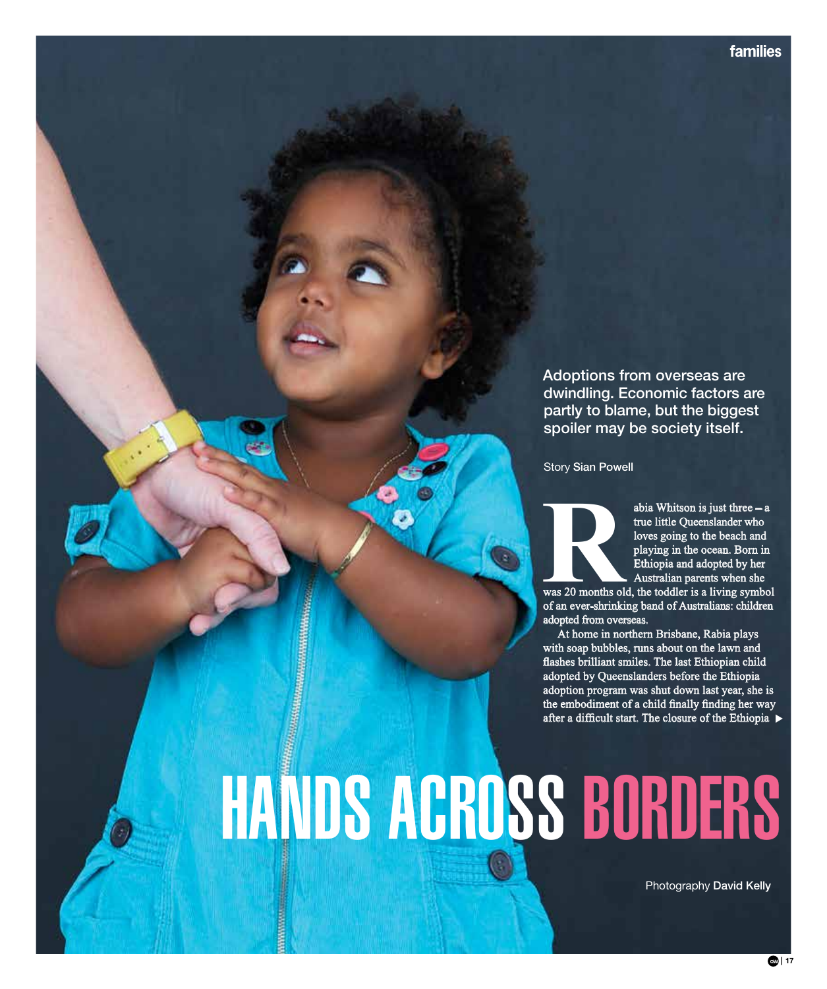Adoptions from overseas are dwindling. Economic factors are partly to blame, but the biggest spoiler may be society itself.

Story Sian Powell

abia Whitson is just three – a<br>true little Queenslander who<br>loves going to the beach and<br>playing in the ocean. Born in<br>Ethiopia and adopted by her<br>Australian parents when she<br>was 20 months old, the toddler is a living symb true little Queenslander who loves going to the beach and playing in the ocean. Born in Ethiopia and adopted by her Australian parents when she

was 20 months old, the toddler is a living symbol of an ever-shrinking band of Australians: children adopted from overseas.

At home in northern Brisbane, Rabia plays with soap bubbles, runs about on the lawn and flashes brilliant smiles. The last Ethiopian child adopted by Queenslanders before the Ethiopia adoption program was shut down last year, she is the embodiment of a child finally finding her way after a difficult start. The closure of the Ethiopia  $\blacktriangleright$ 

# hands across borders

Photography David Kelly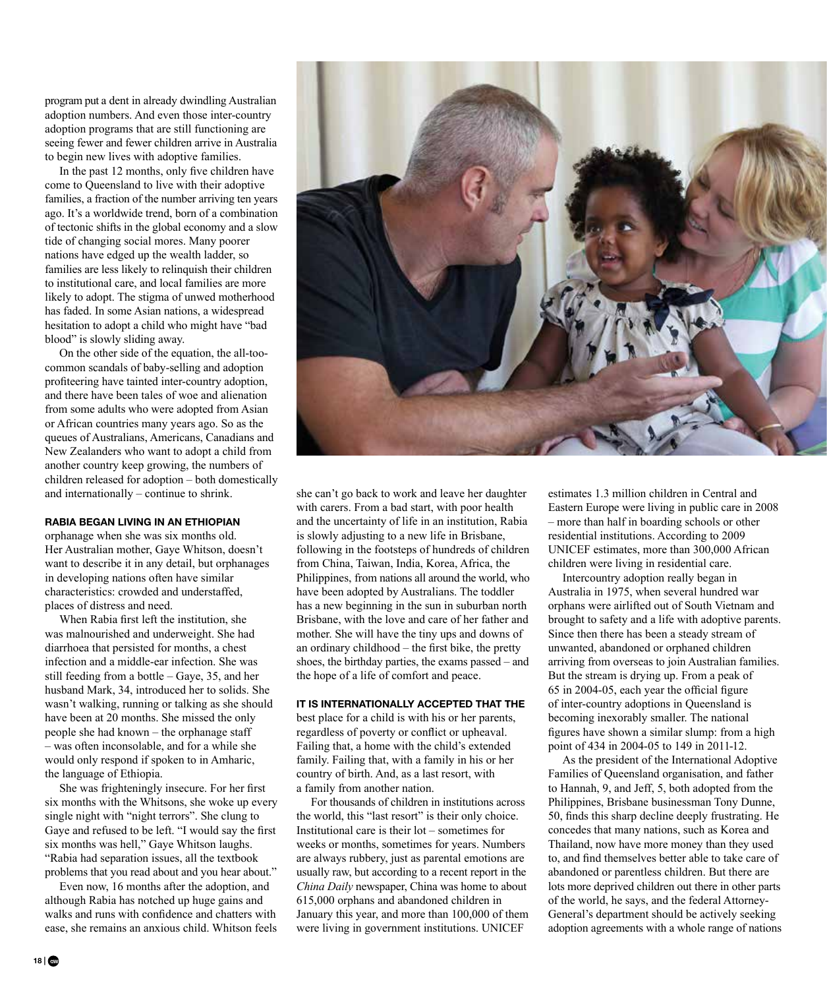program put a dent in already dwindling Australian adoption numbers. And even those inter-country adoption programs that are still functioning are seeing fewer and fewer children arrive in Australia to begin new lives with adoptive families.

In the past 12 months, only five children have come to Queensland to live with their adoptive families, a fraction of the number arriving ten years ago. It's a worldwide trend, born of a combination of tectonic shifts in the global economy and a slow tide of changing social mores. Many poorer nations have edged up the wealth ladder, so families are less likely to relinquish their children to institutional care, and local families are more likely to adopt. The stigma of unwed motherhood has faded. In some Asian nations, a widespread hesitation to adopt a child who might have "bad blood" is slowly sliding away.

On the other side of the equation, the all-toocommon scandals of baby-selling and adoption profiteering have tainted inter-country adoption, and there have been tales of woe and alienation from some adults who were adopted from Asian or African countries many years ago. So as the queues of Australians, Americans, Canadians and New Zealanders who want to adopt a child from another country keep growing, the numbers of children released for adoption – both domestically and internationally – continue to shrink.

### **RABIA BEGAN LIVING IN AN ETHIOPIAN**

orphanage when she was six months old. Her Australian mother, Gaye Whitson, doesn't want to describe it in any detail, but orphanages in developing nations often have similar characteristics: crowded and understaffed, places of distress and need.

When Rabia first left the institution, she was malnourished and underweight. She had diarrhoea that persisted for months, a chest infection and a middle-ear infection. She was still feeding from a bottle – Gaye, 35, and her husband Mark, 34, introduced her to solids. She wasn't walking, running or talking as she should have been at 20 months. She missed the only people she had known – the orphanage staff – was often inconsolable, and for a while she would only respond if spoken to in Amharic, the language of Ethiopia.

She was frighteningly insecure. For her first six months with the Whitsons, she woke up every single night with "night terrors". She clung to Gaye and refused to be left. "I would say the first six months was hell," Gaye Whitson laughs. "Rabia had separation issues, all the textbook problems that you read about and you hear about."

Even now, 16 months after the adoption, and although Rabia has notched up huge gains and walks and runs with confidence and chatters with ease, she remains an anxious child. Whitson feels

she can't go back to work and leave her daughter with carers. From a bad start, with poor health and the uncertainty of life in an institution, Rabia is slowly adjusting to a new life in Brisbane, following in the footsteps of hundreds of children from China, Taiwan, India, Korea, Africa, the Philippines, from nations all around the world, who have been adopted by Australians. The toddler has a new beginning in the sun in suburban north Brisbane, with the love and care of her father and mother. She will have the tiny ups and downs of an ordinary childhood – the first bike, the pretty shoes, the birthday parties, the exams passed – and the hope of a life of comfort and peace.

# **IT IS INTERNATIONALLY ACCEPTED THAT THE**

best place for a child is with his or her parents, regardless of poverty or conflict or upheaval. Failing that, a home with the child's extended family. Failing that, with a family in his or her country of birth. And, as a last resort, with a family from another nation.

For thousands of children in institutions across the world, this "last resort" is their only choice. Institutional care is their lot – sometimes for weeks or months, sometimes for years. Numbers are always rubbery, just as parental emotions are usually raw, but according to a recent report in the *China Daily* newspaper, China was home to about 615,000 orphans and abandoned children in January this year, and more than 100,000 of them were living in government institutions. UNICEF

estimates 1.3 million children in Central and Eastern Europe were living in public care in 2008 – more than half in boarding schools or other residential institutions. According to 2009 UNICEF estimates, more than 300,000 African children were living in residential care.

Intercountry adoption really began in Australia in 1975, when several hundred war orphans were airlifted out of South Vietnam and brought to safety and a life with adoptive parents. Since then there has been a steady stream of unwanted, abandoned or orphaned children arriving from overseas to join Australian families. But the stream is drying up. From a peak of 65 in 2004-05, each year the official figure of inter-country adoptions in Queensland is becoming inexorably smaller. The national figures have shown a similar slump: from a high point of 434 in 2004-05 to 149 in 2011-12.

As the president of the International Adoptive Families of Queensland organisation, and father to Hannah, 9, and Jeff, 5, both adopted from the Philippines, Brisbane businessman Tony Dunne, 50, finds this sharp decline deeply frustrating. He concedes that many nations, such as Korea and Thailand, now have more money than they used to, and find themselves better able to take care of abandoned or parentless children. But there are lots more deprived children out there in other parts of the world, he says, and the federal Attorney-General's department should be actively seeking adoption agreements with a whole range of nations

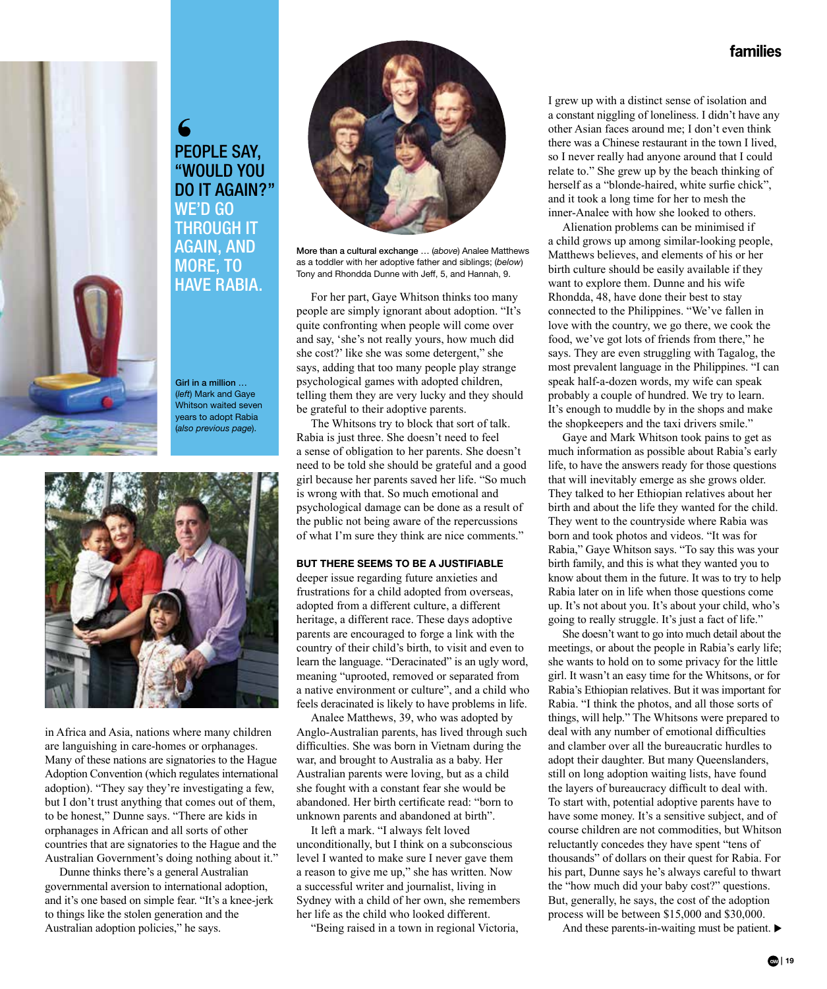

people say, "would you DO IT AGAIN?" WE'D GO through it again, and MORE, TO **HAVE RABIA.** 





in Africa and Asia, nations where many children are languishing in care-homes or orphanages. Many of these nations are signatories to the Hague Adoption Convention (which regulates international adoption). "They say they're investigating a few, but I don't trust anything that comes out of them, to be honest," Dunne says. "There are kids in orphanages in African and all sorts of other countries that are signatories to the Hague and the Australian Government's doing nothing about it."

Dunne thinks there's a general Australian governmental aversion to international adoption, and it's one based on simple fear. "It's a knee-jerk to things like the stolen generation and the Australian adoption policies," he says.



More than a cultural exchange … (*above*) Analee Matthews as a toddler with her adoptive father and siblings; (*below*) Tony and Rhondda Dunne with Jeff, 5, and Hannah, 9.

For her part, Gaye Whitson thinks too many people are simply ignorant about adoption. "It's quite confronting when people will come over and say, 'she's not really yours, how much did she cost?' like she was some detergent," she says, adding that too many people play strange psychological games with adopted children, telling them they are very lucky and they should be grateful to their adoptive parents.

The Whitsons try to block that sort of talk. Rabia is just three. She doesn't need to feel a sense of obligation to her parents. She doesn't need to be told she should be grateful and a good girl because her parents saved her life. "So much is wrong with that. So much emotional and psychological damage can be done as a result of the public not being aware of the repercussions of what I'm sure they think are nice comments."

## **BUT THERE SEEMS TO BE A JUSTIFIABLE**

deeper issue regarding future anxieties and frustrations for a child adopted from overseas, adopted from a different culture, a different heritage, a different race. These days adoptive parents are encouraged to forge a link with the country of their child's birth, to visit and even to learn the language. "Deracinated" is an ugly word, meaning "uprooted, removed or separated from a native environment or culture", and a child who feels deracinated is likely to have problems in life.

Analee Matthews, 39, who was adopted by Anglo-Australian parents, has lived through such difficulties. She was born in Vietnam during the war, and brought to Australia as a baby. Her Australian parents were loving, but as a child she fought with a constant fear she would be abandoned. Her birth certificate read: "born to unknown parents and abandoned at birth".

It left a mark. "I always felt loved unconditionally, but I think on a subconscious level I wanted to make sure I never gave them a reason to give me up," she has written. Now a successful writer and journalist, living in Sydney with a child of her own, she remembers her life as the child who looked different.

"Being raised in a town in regional Victoria,

I grew up with a distinct sense of isolation and a constant niggling of loneliness. I didn't have any other Asian faces around me; I don't even think there was a Chinese restaurant in the town I lived, so I never really had anyone around that I could relate to." She grew up by the beach thinking of herself as a "blonde-haired, white surfie chick", and it took a long time for her to mesh the inner-Analee with how she looked to others.

Alienation problems can be minimised if a child grows up among similar-looking people, Matthews believes, and elements of his or her birth culture should be easily available if they want to explore them. Dunne and his wife Rhondda, 48, have done their best to stay connected to the Philippines. "We've fallen in love with the country, we go there, we cook the food, we've got lots of friends from there," he says. They are even struggling with Tagalog, the most prevalent language in the Philippines. "I can speak half-a-dozen words, my wife can speak probably a couple of hundred. We try to learn. It's enough to muddle by in the shops and make the shopkeepers and the taxi drivers smile."

Gaye and Mark Whitson took pains to get as much information as possible about Rabia's early life, to have the answers ready for those questions that will inevitably emerge as she grows older. They talked to her Ethiopian relatives about her birth and about the life they wanted for the child. They went to the countryside where Rabia was born and took photos and videos. "It was for Rabia," Gaye Whitson says. "To say this was your birth family, and this is what they wanted you to know about them in the future. It was to try to help Rabia later on in life when those questions come up. It's not about you. It's about your child, who's going to really struggle. It's just a fact of life."

She doesn't want to go into much detail about the meetings, or about the people in Rabia's early life; she wants to hold on to some privacy for the little girl. It wasn't an easy time for the Whitsons, or for Rabia's Ethiopian relatives. But it was important for Rabia. "I think the photos, and all those sorts of things, will help." The Whitsons were prepared to deal with any number of emotional difficulties and clamber over all the bureaucratic hurdles to adopt their daughter. But many Queenslanders, still on long adoption waiting lists, have found the layers of bureaucracy difficult to deal with. To start with, potential adoptive parents have to have some money. It's a sensitive subject, and of course children are not commodities, but Whitson reluctantly concedes they have spent "tens of thousands" of dollars on their quest for Rabia. For his part, Dunne says he's always careful to thwart the "how much did your baby cost?" questions. But, generally, he says, the cost of the adoption process will be between \$15,000 and \$30,000.

And these parents-in-waiting must be patient.  $\blacktriangleright$